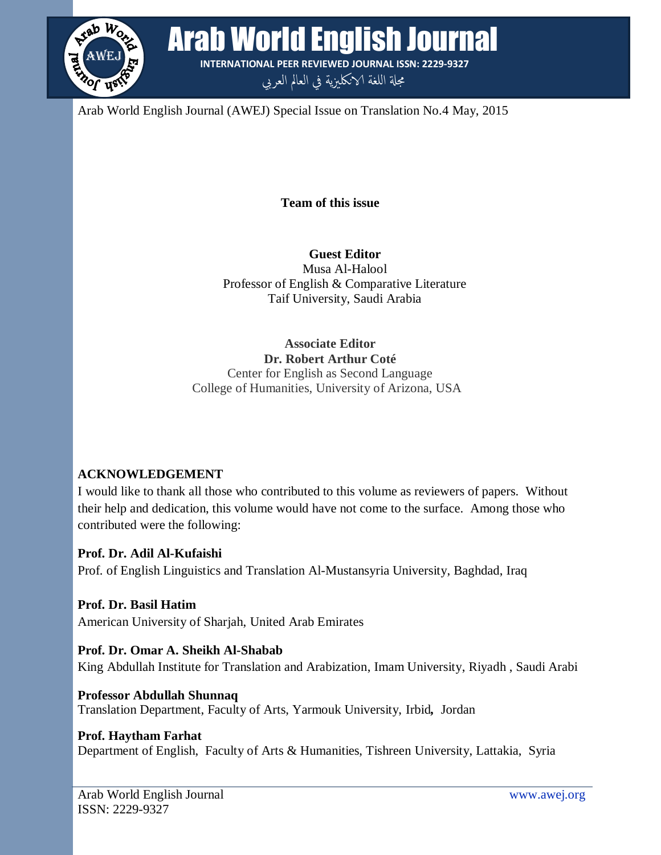

Arab World English Journal (AWEJ) Special Issue on Translation No.4 May, 2015

**Team of this issue**

**INTERNATIONAL PEER REVIEWED JOURNAL ISSN: 2229-9327** مجلة اللغة الانكلىزية في العالم العربي

**Guest Editor** Musa Al-Halool Professor of English & Comparative Literature Taif University, Saudi Arabia

## **Associate Editor Dr. Robert Arthur Coté**

Center for English as Second Language College of Humanities, University of Arizona, USA

## **ACKNOWLEDGEMENT**

I would like to thank all those who contributed to this volume as reviewers of papers. Without their help and dedication, this volume would have not come to the surface. Among those who contributed were the following:

**Prof. Dr. Adil Al-Kufaishi** Prof. of English Linguistics and Translation Al-Mustansyria University, Baghdad, Iraq

**Prof. Dr. Basil Hatim** American University of Sharjah, United Arab Emirates

## **Prof. Dr. Omar A. Sheikh Al-Shabab**

King Abdullah Institute for Translation and Arabization, Imam University, Riyadh , Saudi Arabi

**Professor Abdullah Shunnaq** Translation Department, Faculty of Arts, Yarmouk University, Irbid*,* Jordan

## **Prof. Haytham Farhat**

Department of English, Faculty of Arts & Humanities, Tishreen University, Lattakia, Syria